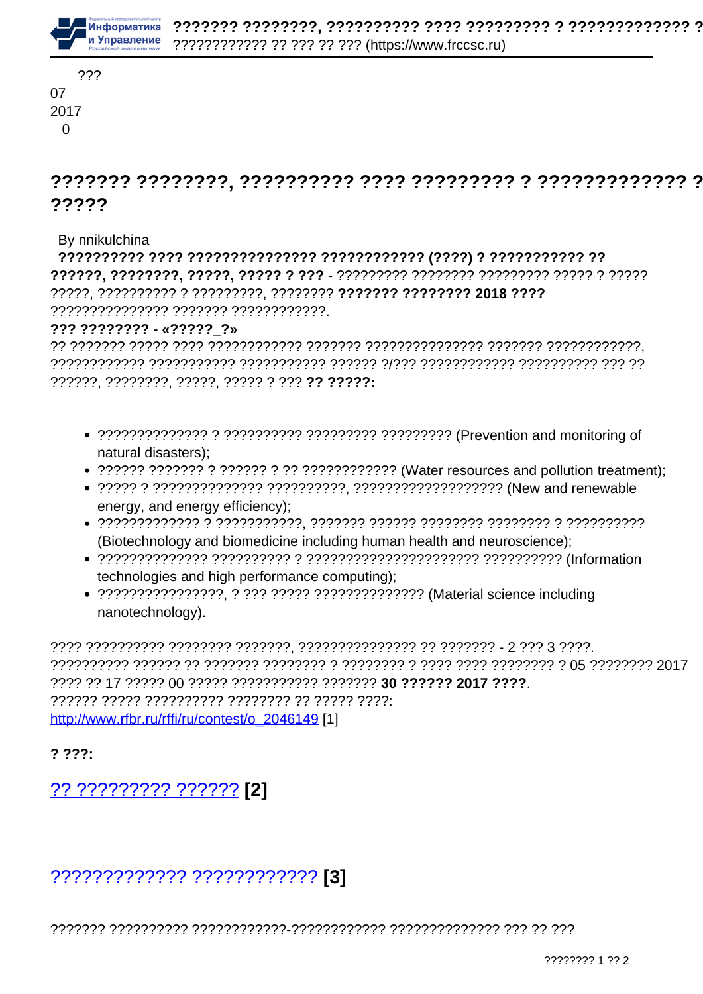

# ?????

By nnikulchina

??????????????? ??????? ????????????.

#### $??? ? ? ? ? ? ? ? ? ... ? ? ? ? ?$

- natural disasters):
- 
- energy, and energy efficiency);
- (Biotechnology and biomedicine including human health and neuroscience);
- technologies and high performance computing):
- nanotechnology).

2222 22 17 22222 00 22222 22222222222 2222222 30 222222 2017 2222 http://www.rfbr.ru/rffi/ru/contest/o 2046149 [1]

 $? ? ? ? :$ 

?? ????????? ?????? [2]

## <u>7???????????? ???????????? [3]</u>